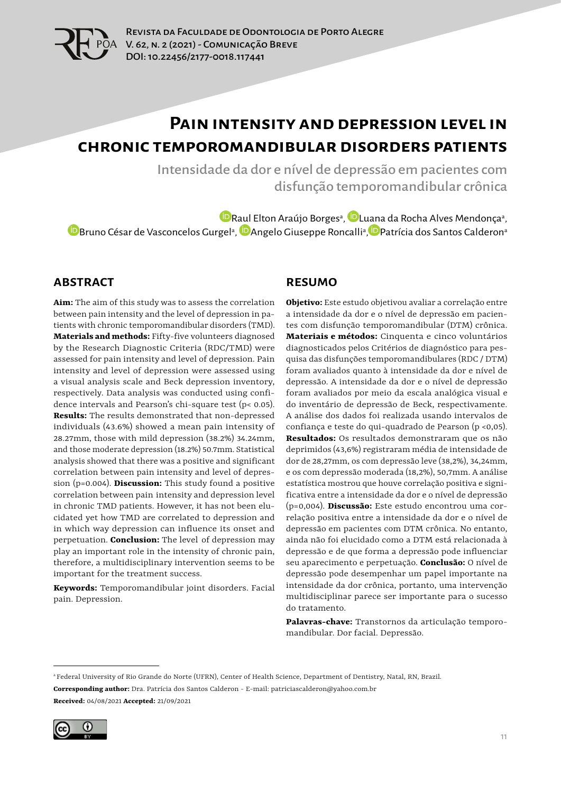

# **Pain intensity and depression level in chronic temporomandibular disorders patients**

Intensidade da dor e nível de depressão em pacientes com disfunção temporomandibular crônica

[R](https://orcid.org/0000-0003-3861-6890)aul Elton Araújo Borgesª, DL[uana](https://orcid.org/0000-0001-5970-4019) da Rocha Alves Mendonçaª, [B](https://orcid.org/0000-0001-5971-134X)runo César de Vasconcelos Gurgelª, <sup>(D</sup>Angelo Giuseppe Roncalliª, <sup>(D</sup>Patrícia dos Santos Calderonª

#### **ABSTRACT**

**Aim:** The aim of this study was to assess the correlation between pain intensity and the level of depression in patients with chronic temporomandibular disorders (TMD). **Materials and methods:** Fifty-five volunteers diagnosed by the Research Diagnostic Criteria (RDC/TMD) were assessed for pain intensity and level of depression. Pain intensity and level of depression were assessed using a visual analysis scale and Beck depression inventory, respectively. Data analysis was conducted using confidence intervals and Pearson's chi-square test (p< 0.05). **Results:** The results demonstrated that non-depressed individuals (43.6%) showed a mean pain intensity of 28.27mm, those with mild depression (38.2%) 34.24mm, and those moderate depression (18.2%) 50.7mm. Statistical analysis showed that there was a positive and significant correlation between pain intensity and level of depression (p=0.004). **Discussion:** This study found a positive correlation between pain intensity and depression level in chronic TMD patients. However, it has not been elucidated yet how TMD are correlated to depression and in which way depression can influence its onset and perpetuation. **Conclusion:** The level of depression may play an important role in the intensity of chronic pain, therefore, a multidisciplinary intervention seems to be important for the treatment success.

**Keywords:** Temporomandibular joint disorders. Facial pain. Depression.

#### **RESUMO**

**Objetivo:** Este estudo objetivou avaliar a correlação entre a intensidade da dor e o nível de depressão em pacientes com disfunção temporomandibular (DTM) crônica. **Materiais e métodos:** Cinquenta e cinco voluntários diagnosticados pelos Critérios de diagnóstico para pesquisa das disfunções temporomandibulares (RDC / DTM) foram avaliados quanto à intensidade da dor e nível de depressão. A intensidade da dor e o nível de depressão foram avaliados por meio da escala analógica visual e do inventário de depressão de Beck, respectivamente. A análise dos dados foi realizada usando intervalos de confiança e teste do qui-quadrado de Pearson (p <0,05). **Resultados:** Os resultados demonstraram que os não deprimidos (43,6%) registraram média de intensidade de dor de 28,27mm, os com depressão leve (38,2%), 34,24mm, e os com depressão moderada (18,2%), 50,7mm. A análise estatística mostrou que houve correlação positiva e significativa entre a intensidade da dor e o nível de depressão (p=0,004). **Discussão:** Este estudo encontrou uma correlação positiva entre a intensidade da dor e o nível de depressão em pacientes com DTM crônica. No entanto, ainda não foi elucidado como a DTM está relacionada à depressão e de que forma a depressão pode influenciar seu aparecimento e perpetuação. **Conclusão:** O nível de depressão pode desempenhar um papel importante na intensidade da dor crônica, portanto, uma intervenção multidisciplinar parece ser importante para o sucesso do tratamento.

**Palavras-chave:** Transtornos da articulação temporomandibular. Dor facial. Depressão.

**Corresponding author:** Dra. Patrícia dos Santos Calderon - E-mail: patriciascalderon@yahoo.com.br **Received:** 04/08/2021 **Accepted:** 21/09/2021



a Federal University of Rio Grande do Norte (UFRN), Center of Health Science, Department of Dentistry, Natal, RN, Brazil.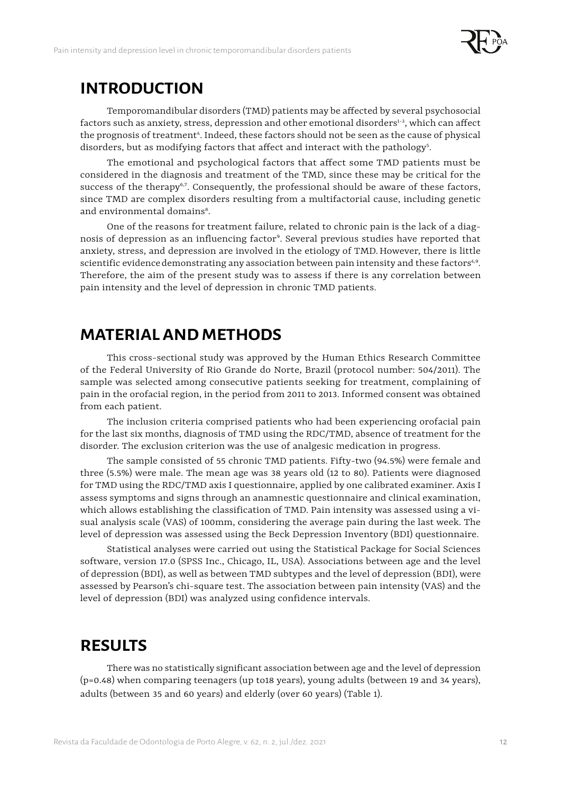

#### **INTRODUCTION**

Temporomandibular disorders (TMD) patients may be affected by several psychosocial factors such as anxiety, stress, depression and other emotional disorders $^{1-3}$ , which can affect the prognosis of treatment<sup>4</sup>. Indeed, these factors should not be seen as the cause of physical disorders, but as modifying factors that affect and interact with the pathology<sup>5</sup>.

The emotional and psychological factors that affect some TMD patients must be considered in the diagnosis and treatment of the TMD, since these may be critical for the success of the therapy<sup> $6,7$ </sup>. Consequently, the professional should be aware of these factors, since TMD are complex disorders resulting from a multifactorial cause, including genetic and environmental domains<sup>8</sup>.

One of the reasons for treatment failure, related to chronic pain is the lack of a diagnosis of depression as an influencing factor<sup>9</sup>. Several previous studies have reported that anxiety, stress, and depression are involved in the etiology of TMD.However, there is little scientific evidence demonstrating any association between pain intensity and these factors<sup>4,9</sup>. Therefore, the aim of the present study was to assess if there is any correlation between pain intensity and the level of depression in chronic TMD patients.

### **MATERIAL AND METHODS**

This cross-sectional study was approved by the Human Ethics Research Committee of the Federal University of Rio Grande do Norte, Brazil (protocol number: 504/2011). The sample was selected among consecutive patients seeking for treatment, complaining of pain in the orofacial region, in the period from 2011 to 2013. Informed consent was obtained from each patient.

The inclusion criteria comprised patients who had been experiencing orofacial pain for the last six months, diagnosis of TMD using the RDC/TMD, absence of treatment for the disorder. The exclusion criterion was the use of analgesic medication in progress.

The sample consisted of 55 chronic TMD patients. Fifty-two (94.5%) were female and three (5.5%) were male. The mean age was 38 years old (12 to 80). Patients were diagnosed for TMD using the RDC/TMD axis I questionnaire, applied by one calibrated examiner. Axis I assess symptoms and signs through an anamnestic questionnaire and clinical examination, which allows establishing the classification of TMD. Pain intensity was assessed using a visual analysis scale (VAS) of 100mm, considering the average pain during the last week. The level of depression was assessed using the Beck Depression Inventory (BDI) questionnaire.

Statistical analyses were carried out using the Statistical Package for Social Sciences software, version 17.0 (SPSS Inc., Chicago, IL, USA). Associations between age and the level of depression (BDI), as well as between TMD subtypes and the level of depression (BDI), were assessed by Pearson's chi-square test. The association between pain intensity (VAS) and the level of depression (BDI) was analyzed using confidence intervals.

#### **RESULTS**

There was no statistically significant association between age and the level of depression (p=0.48) when comparing teenagers (up to18 years), young adults (between 19 and 34 years), adults (between 35 and 60 years) and elderly (over 60 years) (Table 1).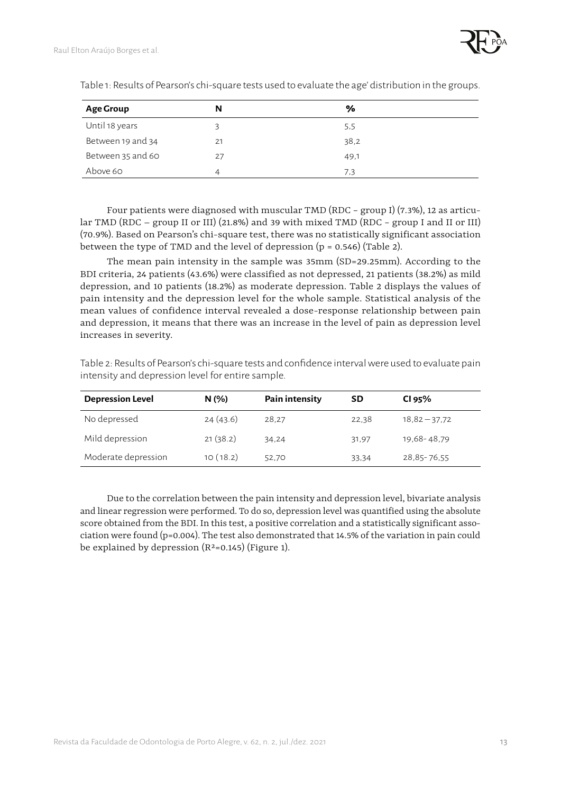| <b>Age Group</b>  | N  | %    |  |
|-------------------|----|------|--|
| Until 18 years    |    | 5,5  |  |
| Between 19 and 34 | 21 | 38,2 |  |
| Between 35 and 60 | 27 | 49,1 |  |
| Above 60          |    | 7,3  |  |

Table 1: Results of Pearson's chi-square tests used to evaluate the age' distribution in the groups.

Four patients were diagnosed with muscular TMD (RDC − group I) (7.3%), 12 as articular TMD (RDC – group II or III) (21.8%) and 39 with mixed TMD (RDC − group I and II or III) (70.9%). Based on Pearson's chi-square test, there was no statistically significant association between the type of TMD and the level of depression  $(p = 0.546)$  (Table 2).

The mean pain intensity in the sample was 35mm (SD=29.25mm). According to the BDI criteria, 24 patients (43.6%) were classified as not depressed, 21 patients (38.2%) as mild depression, and 10 patients (18.2%) as moderate depression. Table 2 displays the values of pain intensity and the depression level for the whole sample. Statistical analysis of the mean values of confidence interval revealed a dose-response relationship between pain and depression, it means that there was an increase in the level of pain as depression level increases in severity.

| <b>Depression Level</b> | N(% )    | Pain intensity | <b>SD</b> | CI 95%          |
|-------------------------|----------|----------------|-----------|-----------------|
| No depressed            | 24(43.6) | 28,27          | 22,38     | $18,82 - 37,72$ |
| Mild depression         | 21(38.2) | 34,24          | 31,97     | 19,68-48,79     |
| Moderate depression     | 10(18.2) | 52,70          | 33.34     | 28,85-76,55     |

Table 2: Results of Pearson's chi-square tests and confidence interval were used to evaluate pain intensity and depression level for entire sample.

Due to the correlation between the pain intensity and depression level, bivariate analysis and linear regression were performed. To do so, depression level was quantified using the absolute score obtained from the BDI. In this test, a positive correlation and a statistically significant association were found ( $p=0.004$ ). The test also demonstrated that 14.5% of the variation in pain could be explained by depression  $(R^2=0.145)$  (Figure 1).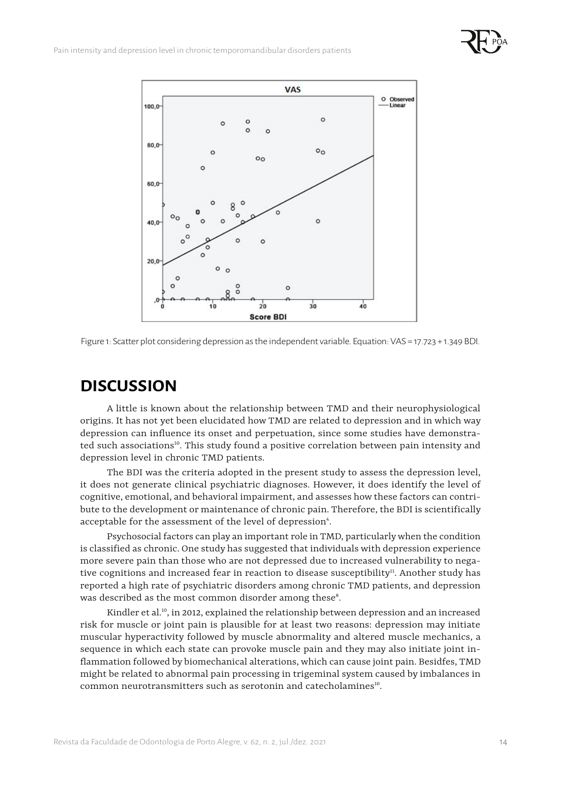



Figure 1: Scatter plot considering depression as the independent variable. Equation: VAS = 17.723 + 1.349 BDI.

### **DISCUSSION**

A little is known about the relationship between TMD and their neurophysiological origins. It has not yet been elucidated how TMD are related to depression and in which way depression can influence its onset and perpetuation, since some studies have demonstrated such associations<sup>10</sup>. This study found a positive correlation between pain intensity and depression level in chronic TMD patients.

The BDI was the criteria adopted in the present study to assess the depression level, it does not generate clinical psychiatric diagnoses. However, it does identify the level of cognitive, emotional, and behavioral impairment, and assesses how these factors can contribute to the development or maintenance of chronic pain. Therefore, the BDI is scientifically acceptable for the assessment of the level of depression<sup>4</sup>.

Psychosocial factors can play an important role in TMD, particularly when the condition is classified as chronic. One study has suggested that individuals with depression experience more severe pain than those who are not depressed due to increased vulnerability to negative cognitions and increased fear in reaction to disease susceptibility $\mu$ . Another study has reported a high rate of psychiatric disorders among chronic TMD patients, and depression was described as the most common disorder among these<sup>s</sup>.

Kindler et al.<sup>10</sup>, in 2012, explained the relationship between depression and an increased risk for muscle or joint pain is plausible for at least two reasons: depression may initiate muscular hyperactivity followed by muscle abnormality and altered muscle mechanics, a sequence in which each state can provoke muscle pain and they may also initiate joint inflammation followed by biomechanical alterations, which can cause joint pain. Besidfes, TMD might be related to abnormal pain processing in trigeminal system caused by imbalances in common neurotransmitters such as serotonin and catecholamines<sup>10</sup>.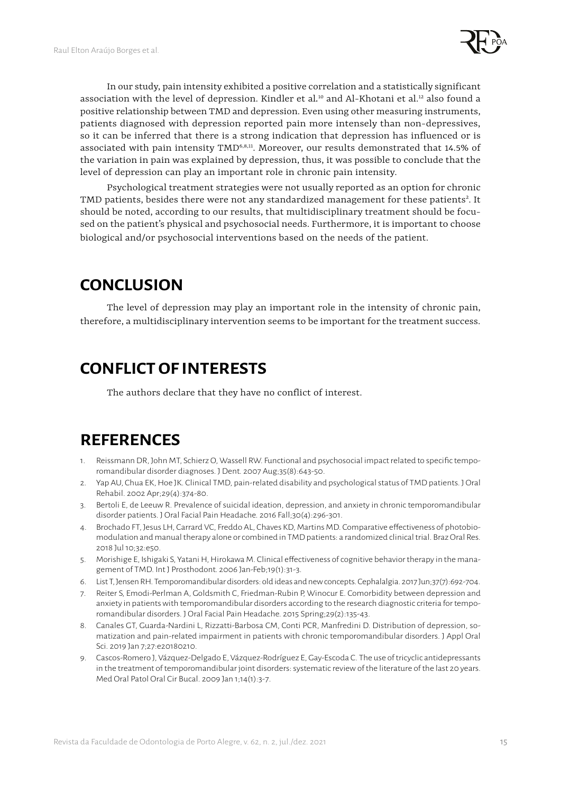

In our study, pain intensity exhibited a positive correlation and a statistically significant association with the level of depression. Kindler et al.<sup>10</sup> and Al-Khotani et al.<sup>12</sup> also found a positive relationship between TMD and depression. Even using other measuring instruments, patients diagnosed with depression reported pain more intensely than non-depressives, so it can be inferred that there is a strong indication that depression has influenced or is associated with pain intensity TMD<sup>6,8,11</sup>. Moreover, our results demonstrated that 14.5% of the variation in pain was explained by depression, thus, it was possible to conclude that the level of depression can play an important role in chronic pain intensity.

Psychological treatment strategies were not usually reported as an option for chronic TMD patients, besides there were not any standardized management for these patients<sup>2</sup>. It should be noted, according to our results, that multidisciplinary treatment should be focused on the patient's physical and psychosocial needs. Furthermore, it is important to choose biological and/or psychosocial interventions based on the needs of the patient.

## **CONCLUSION**

The level of depression may play an important role in the intensity of chronic pain, therefore, a multidisciplinary intervention seems to be important for the treatment success.

## **CONFLICT OF INTERESTS**

The authors declare that they have no conflict of interest.

### **REFERENCES**

- 1. Reissmann DR, John MT, Schierz O, Wassell RW. Functional and psychosocial impact related to specific temporomandibular disorder diagnoses. J Dent. 2007 Aug;35(8):643-50.
- 2. Yap AU, Chua EK, Hoe JK. Clinical TMD, pain-related disability and psychological status of TMD patients. J Oral Rehabil. 2002 Apr;29(4):374-80.
- 3. Bertoli E, de Leeuw R. Prevalence of suicidal ideation, depression, and anxiety in chronic temporomandibular disorder patients. J Oral Facial Pain Headache. 2016 Fall;30(4):296-301.
- 4. Brochado FT, Jesus LH, Carrard VC, Freddo AL, Chaves KD, Martins MD. Comparative effectiveness of photobiomodulation and manual therapy alone or combined in TMD patients: a randomized clinical trial. Braz Oral Res. 2018 Jul 10;32:e50.
- 5. Morishige E, Ishigaki S, Yatani H, Hirokawa M. Clinical effectiveness of cognitive behavior therapy in the management of TMD. Int J Prosthodont. 2006 Jan-Feb;19(1):31-3.
- 6. List T, Jensen RH. Temporomandibular disorders: old ideas and new concepts. Cephalalgia. 2017 Jun;37(7):692-704.
- 7. Reiter S, Emodi-Perlman A, Goldsmith C, Friedman-Rubin P, Winocur E. Comorbidity between depression and anxiety in patients with temporomandibular disorders according to the research diagnostic criteria for temporomandibular disorders. J Oral Facial Pain Headache. 2015 Spring;29(2):135-43.
- 8. Canales GT, Guarda-Nardini L, Rizzatti-Barbosa CM, Conti PCR, Manfredini D. Distribution of depression, somatization and pain-related impairment in patients with chronic temporomandibular disorders. J Appl Oral Sci. 2019 Jan 7;27:e20180210.
- 9. Cascos-Romero J, Vázquez-Delgado E, Vázquez-Rodríguez E, Gay-Escoda C. The use of tricyclic antidepressants in the treatment of temporomandibular joint disorders: systematic review of the literature of the last 20 years. Med Oral Patol Oral Cir Bucal. 2009 Jan 1;14(1):3-7.